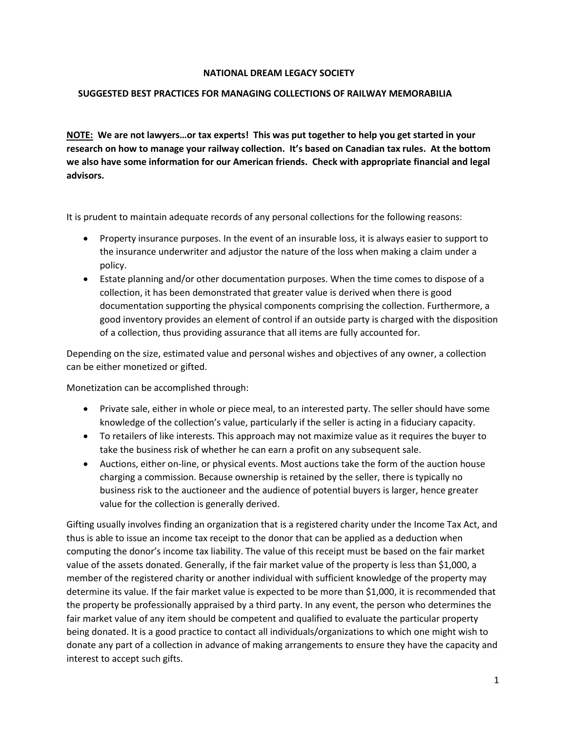## **NATIONAL DREAM LEGACY SOCIETY**

## **SUGGESTED BEST PRACTICES FOR MANAGING COLLECTIONS OF RAILWAY MEMORABILIA**

**NOTE: We are not lawyers…or tax experts! This was put together to help you get started in your research on how to manage your railway collection. It's based on Canadian tax rules. At the bottom we also have some information for our American friends. Check with appropriate financial and legal advisors.**

It is prudent to maintain adequate records of any personal collections for the following reasons:

- Property insurance purposes. In the event of an insurable loss, it is always easier to support to the insurance underwriter and adjustor the nature of the loss when making a claim under a policy.
- Estate planning and/or other documentation purposes. When the time comes to dispose of a collection, it has been demonstrated that greater value is derived when there is good documentation supporting the physical components comprising the collection. Furthermore, a good inventory provides an element of control if an outside party is charged with the disposition of a collection, thus providing assurance that all items are fully accounted for.

Depending on the size, estimated value and personal wishes and objectives of any owner, a collection can be either monetized or gifted.

Monetization can be accomplished through:

- Private sale, either in whole or piece meal, to an interested party. The seller should have some knowledge of the collection's value, particularly if the seller is acting in a fiduciary capacity.
- To retailers of like interests. This approach may not maximize value as it requires the buyer to take the business risk of whether he can earn a profit on any subsequent sale.
- Auctions, either on-line, or physical events. Most auctions take the form of the auction house charging a commission. Because ownership is retained by the seller, there is typically no business risk to the auctioneer and the audience of potential buyers is larger, hence greater value for the collection is generally derived.

Gifting usually involves finding an organization that is a registered charity under the Income Tax Act, and thus is able to issue an income tax receipt to the donor that can be applied as a deduction when computing the donor's income tax liability. The value of this receipt must be based on the fair market value of the assets donated. Generally, if the fair market value of the property is less than \$1,000, a member of the registered charity or another individual with sufficient knowledge of the property may determine its value. If the fair market value is expected to be more than \$1,000, it is recommended that the property be professionally appraised by a third party. In any event, the person who determines the fair market value of any item should be competent and qualified to evaluate the particular property being donated. It is a good practice to contact all individuals/organizations to which one might wish to donate any part of a collection in advance of making arrangements to ensure they have the capacity and interest to accept such gifts.